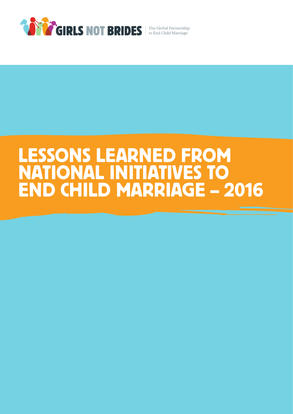

# LESSONS LEARNED FROM NATIONAL INITIATIVES TO END CHILD MARRIAGE – 2016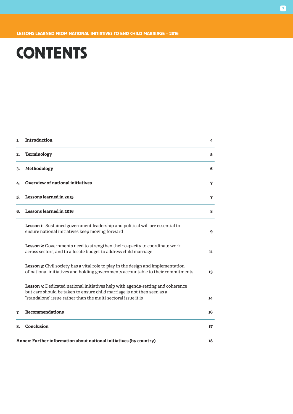## **CONTENTS**

| 1. | Introduction                                                                                                                                                                                                                | 4  |
|----|-----------------------------------------------------------------------------------------------------------------------------------------------------------------------------------------------------------------------------|----|
| 2. | Terminology                                                                                                                                                                                                                 | 5  |
| 3. | Methodology                                                                                                                                                                                                                 | 6  |
| 4. | Overview of national initiatives                                                                                                                                                                                            | 7  |
| 5. | <b>Lessons learned in 2015</b>                                                                                                                                                                                              | 7  |
| 6. | Lessons learned in 2016                                                                                                                                                                                                     | Ջ  |
|    | Lesson 1: Sustained government leadership and political will are essential to<br>ensure national initiatives keep moving forward                                                                                            | 9  |
|    | Lesson 2: Governments need to strengthen their capacity to coordinate work<br>across sectors, and to allocate budget to address child marriage                                                                              | 11 |
|    | Lesson 3: Civil society has a vital role to play in the design and implementation<br>of national initiatives and holding governments accountable to their commitments                                                       | 13 |
|    | Lesson 4: Dedicated national initiatives help with agenda-setting and coherence<br>but care should be taken to ensure child marriage is not then seen as a<br>"standalone" issue rather than the multi-sectoral issue it is | 14 |
| 7. | <b>Recommendations</b>                                                                                                                                                                                                      | 16 |
| 8. | Conclusion                                                                                                                                                                                                                  | 17 |
|    | Annex: Further information about national initiatives (by country)                                                                                                                                                          | 18 |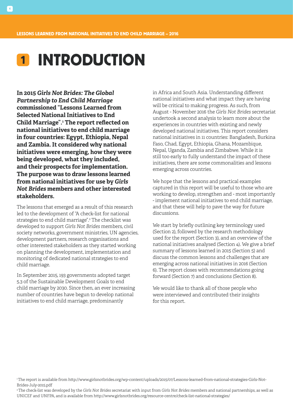## 1 INTRODUCTION

**In 2015** *Girls Not Brides: The Global Partnership to End Child Marriage* **commissioned "Lessons Learned from Selected National Initiatives to End Child Marriage".1 The report reflected on national initiatives to end child marriage in four countries: Egypt, Ethiopia, Nepal and Zambia. It considered why national initiatives were emerging, how they were being developed, what they included, and their prospects for implementation. The purpose was to draw lessons learned from national initiatives for use by** *Girls Not Brides* **members and other interested stakeholders.** 

The lessons that emerged as a result of this research led to the development of "A check-list for national strategies to end child marriage".2 The checklist was developed to support *Girls Not Brides* members, civil society networks, government ministries, UN agencies, development partners, research organisations and other interested stakeholders as they started working on planning the development, implementation and monitoring of dedicated national strategies to end child marriage.

In September 2015, 193 governments adopted target 5.3 of the Sustainable Development Goals to end child marriage by 2030. Since then, an ever increasing number of countries have begun to develop national initiatives to end child marriage, predominantly

in Africa and South Asia. Understanding different national initiatives and what impact they are having will be critical to making progress. As such, from August - November 2016 the *Girls Not Brides* secretariat undertook a second analysis to learn more about the experiences in countries with existing and newly developed national initiatives. This report considers national initiatives in 11 countries: Bangladesh, Burkina Faso, Chad, Egypt, Ethiopia, Ghana, Mozambique, Nepal, Uganda, Zambia and Zimbabwe. While it is still too early to fully understand the impact of these initiatives, there are some commonalities and lessons emerging across countries.

We hope that the lessons and practical examples captured in this report will be useful to those who are working to develop, strengthen and - most importantly - implement national initiatives to end child marriage, and that these will help to pave the way for future discussions.

We start by briefly outlining key terminology used (Section 2), followed by the research methodology used for the report (Section 3), and an overview of the national initiatives analysed (Section 4). We give a brief summary of lessons learned in 2015 (Section 5) and discuss the common lessons and challenges that are emerging across national initiatives in 2016 (Section 6). The report closes with recommendations going forward (Section 7) and conclusions (Section 8).

We would like to thank all of those people who were interviewed and contributed their insights for this report.

2 The check-list was developed by the *Girls Not Brides* secretariat with input from *Girls Not Brides* members and national partnerships, as well as UNICEF and UNFPA, and is available from http://www.girlsnotbrides.org/resource-centre/check-list-national-strategies/

<sup>1</sup> The report is available from http://www.girlsnotbrides.org/wp-content/uploads/2015/07/Lessons-learned-from-national-strategies-Girls-Not-Brides-July-2015.pdf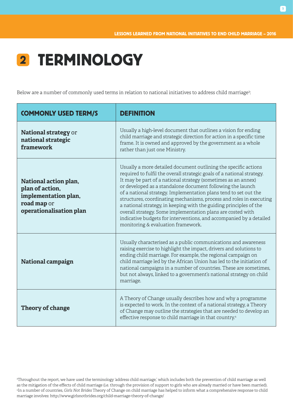

Below are a number of commonly used terms in relation to national initiatives to address child marriage<sup>3</sup>:

| <b>COMMONLY USED TERM/S</b>                                                                                | DEFINITION                                                                                                                                                                                                                                                                                                                                                                                                                                                                                                                                                                                                                                                            |
|------------------------------------------------------------------------------------------------------------|-----------------------------------------------------------------------------------------------------------------------------------------------------------------------------------------------------------------------------------------------------------------------------------------------------------------------------------------------------------------------------------------------------------------------------------------------------------------------------------------------------------------------------------------------------------------------------------------------------------------------------------------------------------------------|
| <b>National strategy or</b><br>national strategic<br>framework                                             | Usually a high-level document that outlines a vision for ending<br>child marriage and strategic direction for action in a specific time<br>frame. It is owned and approved by the government as a whole<br>rather than just one Ministry.                                                                                                                                                                                                                                                                                                                                                                                                                             |
| National action plan,<br>plan of action,<br>implementation plan,<br>road map or<br>operationalisation plan | Usually a more detailed document outlining the specific actions<br>required to fulfil the overall strategic goals of a national strategy.<br>It may be part of a national strategy (sometimes as an annex)<br>or developed as a standalone document following the launch<br>of a national strategy. Implementation plans tend to set out the<br>structures, coordinating mechanisms, process and roles in executing<br>a national strategy, in keeping with the guiding principles of the<br>overall strategy. Some implementation plans are costed with<br>indicative budgets for interventions, and accompanied by a detailed<br>monitoring & evaluation framework. |
| <b>National campaign</b>                                                                                   | Usually characterised as a public communications and awareness<br>raising exercise to highlight the impact, drivers and solutions to<br>ending child marriage. For example, the regional campaign on<br>child marriage led by the African Union has led to the initiation of<br>national campaigns in a number of countries. These are sometimes,<br>but not always, linked to a government's national strategy on child<br>marriage.                                                                                                                                                                                                                                 |
| Theory of change                                                                                           | A Theory of Change usually describes how and why a programme<br>is expected to work. In the context of a national strategy, a Theory<br>of Change may outline the strategies that are needed to develop an<br>effective response to child marriage in that country. <sup>4</sup>                                                                                                                                                                                                                                                                                                                                                                                      |

3 Throughout the report, we have used the terminology 'address child marriage,' which includes both the prevention of child marriage as well as the mitigation of the effects of child marriage (i.e. through the provision of support to girls who are already married or have been married). 4 In a number of countries, *Girls Not Brides* Theory of Change on child marriage has helped to inform what a comprehensive response to child marriage involves: http://www.girlsnotbrides.org/child-marriage-theory-of-change/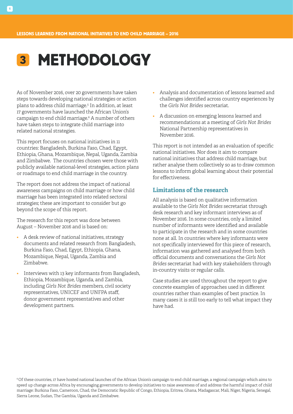## 3 METHODOLOGY

As of November 2016, over 20 governments have taken steps towards developing national strategies or action plans to address child marriage.5 In addition, at least 17 governments have launched the African Union's campaign to end child marriage.6 A number of others have taken steps to integrate child marriage into related national strategies.

This report focuses on national initiatives in 11 countries: Bangladesh, Burkina Faso, Chad, Egypt, Ethiopia, Ghana, Mozambique, Nepal, Uganda, Zambia and Zimbabwe. The countries chosen were those with publicly available national-level strategies, action plans or roadmaps to end child marriage in the country.

The report does not address the impact of national awareness campaigns on child marriage or how child marriage has been integrated into related sectoral strategies; these are important to consider but go beyond the scope of this report.

The research for this report was done between August – November 2016 and is based on:

- A desk review of national initiatives, strategy documents and related research from Bangladesh, Burkina Faso, Chad, Egypt, Ethiopia, Ghana, Mozambique, Nepal, Uganda, Zambia and Zimbabwe.
- Interviews with 13 key informants from Bangladesh, Ethiopia, Mozambique, Uganda, and Zambia, including *Girls Not Brides* members, civil society representatives, UNICEF and UNFPA staff, donor government representatives and other development partners.
- Analysis and documentation of lessons learned and challenges identified across country experiences by the *Girls Not Brides* secretariat.
- A discussion on emerging lessons learned and recommendations at a meeting of *Girls Not Brides* National Partnership representatives in November 2016.

This report is not intended as an evaluation of specific national initiatives. Nor does it aim to compare national initiatives that address child marriage, but rather analyse them collectively so as to draw common lessons to inform global learning about their potential for effectiveness.

## **Limitations of the research**

All analysis is based on qualitative information available to the *Girls Not Brides* secretariat through desk research and key informant interviews as of November 2016. In some countries, only a limited number of informants were identified and available to participate in the research and in some countries none at all. In countries where key informants were not specifically interviewed for this piece of research, information was gathered and analysed from both official documents and conversations the *Girls Not Brides* secretariat had with key stakeholders through in-country visits or regular calls.

Case studies are used throughout the report to give concrete examples of approaches used in different countries rather than examples of best practice. In many cases it is still too early to tell what impact they have had.

6 Of these countries, 17 have hosted national launches of the African Union's campaign to end child marriage, a regional campaign which aims to speed up change across Africa by encouraging governments to develop initiatives to raise awareness of and address the harmful impact of child marriage: Burkina Faso, Cameroon, Chad, the Democratic Republic of Congo, Ethiopia, Eritrea, Ghana, Madagascar, Mali, Niger, Nigeria, Senegal, Sierra Leone, Sudan, The Gambia, Uganda and Zimbabwe.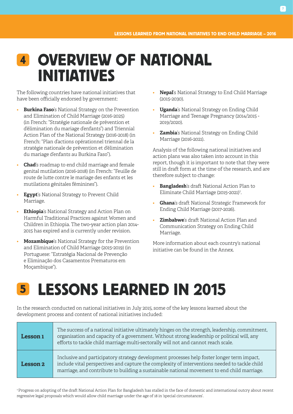## 4 OVERVIEW OF NATIONAL INITIATIVES

The following countries have national initiatives that have been officially endorsed by government:

- **Burkina Faso**'s National Strategy on the Prevention and Elimination of Child Marriage (2016-2025) (in French: "Stratégie nationale de prévention et d'élimination du mariage d'enfants") and Triennial Action Plan of the National Strategy (2016-2018) (in French: "Plan d'actions opérationnel triennal de la stratégie nationale de prévention et d'élimination du mariage d'enfants au Burkina Faso").
- **Chad**'s roadmap to end child marriage and female genital mutilation (2016-2018) (in French: "Feuille de route de lutte contre le mariage des enfants et les mutilations génitales féminines").
- **Egypt**'s National Strategy to Prevent Child Marriage.
- **Ethiopia**'s National Strategy and Action Plan on Harmful Traditional Practices against Women and Children in Ethiopia. The two-year action plan 2014- 2015 has expired and is currently under revision.
- **Mozambique**'s National Strategy for the Prevention and Elimination of Child Marriage (2015-2019) (in Portuguese: "Estratégia Nacional de Prevenção e Eliminação dos Casamentos Prematuros em Moçambique").
- **Nepal**'s National Strategy to End Child Marriage (2015-2030).
- **Uganda**'s National Strategy on Ending Child Marriage and Teenage Pregnancy (2014/2015 - 2019/2020).
- **Zambia**'s National Strategy on Ending Child Marriage (2016-2021).

Analysis of the following national initiatives and action plans was also taken into account in this report, though it is important to note that they were still in draft form at the time of the research, and are therefore subject to change:

- **Bangladesh**'s draft National Action Plan to Eliminate Child Marriage (2015-2021)7 .
- **Ghana**'s draft National Strategic Framework for Ending Child Marriage (2017-2026).
- **Zimbabwe**'s draft National Action Plan and Communication Strategy on Ending Child Marriage.

More information about each country's national initiative can be found in the Annex.

## LESSONS LEARNED IN 2015 5

In the research conducted on national initiatives in July 2015, some of the key lessons learned about the development process and content of national initiatives included:

| Lesson 1        | The success of a national initiative ultimately hinges on the strength, leadership, commitment,<br>organisation and capacity of a government. Without strong leadership or political will, any<br>efforts to tackle child marriage multi-sectorally will not and cannot reach scale.       |
|-----------------|--------------------------------------------------------------------------------------------------------------------------------------------------------------------------------------------------------------------------------------------------------------------------------------------|
| <b>Lesson 2</b> | Inclusive and participatory strategy development processes help foster longer term impact,<br>include vital perspectives and capture the complexity of interventions needed to tackle child<br>marriage, and contribute to building a sustainable national movement to end child marriage. |

7 Progress on adopting of the draft National Action Plan for Bangladesh has stalled in the face of domestic and international outcry about recent regressive legal proposals which would allow child marriage under the age of 18 in 'special circumstances'.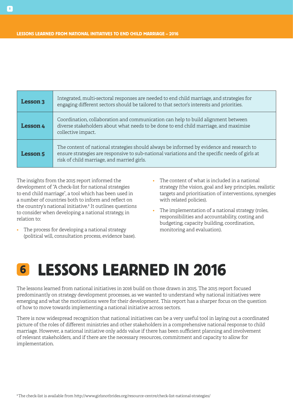| <b>Lesson 3</b> | Integrated, multi-sectoral responses are needed to end child marriage, and strategies for<br>engaging different sectors should be tailored to that sector's interests and priorities.                                                    |
|-----------------|------------------------------------------------------------------------------------------------------------------------------------------------------------------------------------------------------------------------------------------|
| Lesson 4        | Coordination, collaboration and communication can help to build alignment between<br>diverse stakeholders about what needs to be done to end child marriage, and maximise<br>collective impact.                                          |
| Lesson 5        | The content of national strategies should always be informed by evidence and research to<br>ensure strategies are responsive to sub-national variations and the specific needs of girls at<br>risk of child marriage, and married girls. |

The insights from the 2015 report informed the development of "A check-list for national strategies to end child marriage", a tool which has been used in a number of countries both to inform and reflect on the country's national initiative.8 It outlines questions to consider when developing a national strategy, in relation to:

- The process for developing a national strategy (political will, consultation process, evidence base).
- The content of what is included in a national strategy (the vision, goal and key principles, realistic targets and prioritisation of interventions, synergies with related policies).
- The implementation of a national strategy (roles, responsibilities and accountability, costing and budgeting, capacity building, coordination, monitoring and evaluation).

## 6 LESSONS LEARNED IN 2016

The lessons learned from national initiatives in 2016 build on those drawn in 2015. The 2015 report focused predominantly on strategy development processes, as we wanted to understand why national initiatives were emerging and what the motivations were for their development. This report has a sharper focus on the question of how to move towards implementing a national initiative across sectors.

There is now widespread recognition that national initiatives can be a very useful tool in laying out a coordinated picture of the roles of different ministries and other stakeholders in a comprehensive national response to child marriage. However, a national initiative only adds value if there has been sufficient planning and involvement of relevant stakeholders, and if there are the necessary resources, commitment and capacity to allow for implementation.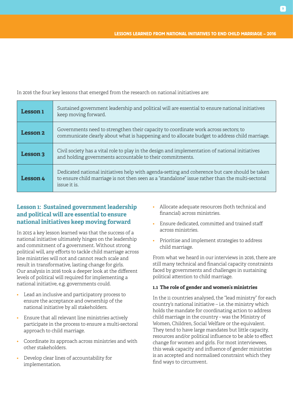In 2016 the four key lessons that emerged from the research on national initiatives are:

| <b>Lesson 1</b> | Sustained government leadership and political will are essential to ensure national initiatives<br>keep moving forward.                                                                                            |
|-----------------|--------------------------------------------------------------------------------------------------------------------------------------------------------------------------------------------------------------------|
| <b>Lesson 2</b> | Governments need to strengthen their capacity to coordinate work across sectors; to<br>communicate clearly about what is happening and to allocate budget to address child marriage.                               |
| <b>Lesson 3</b> | Civil society has a vital role to play in the design and implementation of national initiatives<br>and holding governments accountable to their commitments.                                                       |
| <b>Lesson 4</b> | Dedicated national initiatives help with agenda-setting and coherence but care should be taken<br>to ensure child marriage is not then seen as a "standalone" issue rather than the multi-sectoral<br>issue it is. |

## **Lesson 1: Sustained government leadership and political will are essential to ensure national initiatives keep moving forward**

In 2015 a key lesson learned was that the success of a national initiative ultimately hinges on the leadership and commitment of a government. Without strong political will, any efforts to tackle child marriage across line ministries will not and cannot reach scale and result in transformative, lasting change for girls. Our analysis in 2016 took a deeper look at the different levels of political will required for implementing a national initiative, e.g. governments could.

- Lead an inclusive and participatory process to ensure the acceptance and ownership of the national initiative by all stakeholders.
- Ensure that all relevant line ministries actively participate in the process to ensure a multi-sectoral approach to child marriage.
- Coordinate its approach across ministries and with other stakeholders.
- Develop clear lines of accountability for implementation.
- Allocate adequate resources (both technical and financial) across ministries.
- Ensure dedicated, committed and trained staff across ministries.
- Prioritise and implement strategies to address child marriage.

From what we heard in our interviews in 2016, there are still many technical and financial capacity constraints faced by governments and challenges in sustaining political attention to child marriage.

## **1.1 The role of gender and women's ministries**

In the 11 countries analysed, the "lead ministry" for each country's national initiative – i.e. the ministry which holds the mandate for coordinating action to address child marriage in the country - was the Ministry of Women, Children, Social Welfare or the equivalent. They tend to have large mandates but little capacity, resources and/or political influence to be able to effect change for women and girls. For most interviewees, this weak capacity and influence of gender ministries is an accepted and normalised constraint which they find ways to circumvent.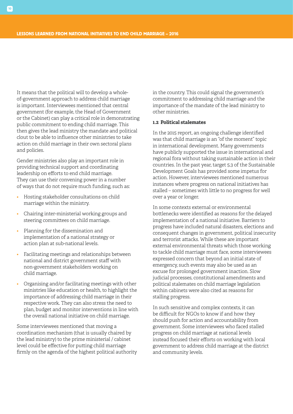It means that the political will to develop a wholeof-government approach to address child marriage is important. Interviewees mentioned that central government (for example, the Head of Government or the Cabinet) can play a critical role in demonstrating public commitment to ending child marriage. This then gives the lead ministry the mandate and political clout to be able to influence other ministries to take action on child marriage in their own sectoral plans and policies.

Gender ministries also play an important role in providing technical support and coordinating leadership on efforts to end child marriage. They can use their convening power in a number of ways that do not require much funding, such as:

- Hosting stakeholder consultations on child marriage within the ministry.
- Chairing inter-ministerial working groups and steering committees on child marriage.
- Planning for the dissemination and implementation of a national strategy or action plan at sub-national levels.
- Facilitating meetings and relationships between national and district government staff with non-government stakeholders working on child marriage.
- Organising and/or facilitating meetings with other ministries like education or health, to highlight the importance of addressing child marriage in their respective work. They can also stress the need to plan, budget and monitor interventions in line with the overall national initiative on child marriage.

Some interviewees mentioned that moving a coordination mechanism (that is usually chaired by the lead ministry) to the prime ministerial / cabinet level could be effective for putting child marriage firmly on the agenda of the highest political authority in the country. This could signal the government's commitment to addressing child marriage and the importance of the mandate of the lead ministry to other ministries.

#### **1.2 Political stalemates**

In the 2015 report, an ongoing challenge identified was that child marriage is an "of the moment" topic in international development. Many governments have publicly supported the issue in international and regional fora without taking sustainable action in their countries. In the past year, target 5.3 of the Sustainable Development Goals has provided some impetus for action. However, interviewees mentioned numerous instances where progress on national initiatives has stalled – sometimes with little to no progress for well over a year or longer.

In some contexts external or environmental bottlenecks were identified as reasons for the delayed implementation of a national initiative. Barriers to progress have included natural disasters, elections and consequent changes in government, political insecurity and terrorist attacks. While these are important external environmental threats which those working to tackle child marriage must face, some interviewees expressed concern that beyond an initial state of emergency, such events may also be used as an excuse for prolonged government inaction. Slow judicial processes, constitutional amendments and political stalemates on child marriage legislation within cabinets were also cited as reasons for stalling progress.

In such sensitive and complex contexts, it can be difficult for NGOs to know if and how they should push for action and accountability from government. Some interviewees who faced stalled progress on child marriage at national levels instead focused their efforts on working with local government to address child marriage at the district and community levels.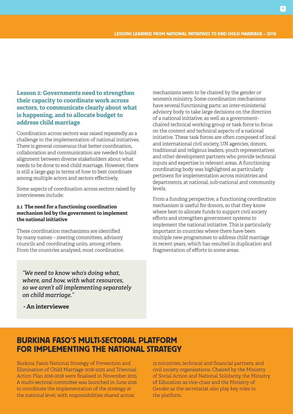## **Lesson 2: Governments need to strengthen their capacity to coordinate work across sectors, to communicate clearly about what is happening, and to allocate budget to address child marriage**

Coordination across sectors was raised repeatedly as a challenge in the implementation of national initiatives. There is general consensus that better coordination, collaboration and communication are needed to build alignment between diverse stakeholders about what needs to be done to end child marriage. However, there is still a large gap in terms of *how* to best coordinate among multiple actors and sectors effectively.

Some aspects of coordination across sectors raised by interviewees include:

## **2.1 The need for a functioning coordination mechanism led by the government to implement the national initiative**

These coordination mechanisms are identified by many names – steering committees, advisory councils and coordinating units, among others. From the countries analysed, most coordination mechanisms seem to be chaired by the gender or women's ministry. Some coordination mechanisms have several functioning parts: an inter-ministerial advisory body to take large decisions on the direction of a national initiative, as well as a governmentchaired technical working group or task force to focus on the content and technical aspects of a national initiative. These task forces are often composed of local and international civil society, UN agencies, donors, traditional and religious leaders, youth representatives and other development partners who provide technical inputs and expertise in relevant areas. A functioning coordinating body was highlighted as particularly pertinent for implementation across ministries and departments, at national, sub-national and community levels.

From a funding perspective, a functioning coordination mechanism is useful for donors, so that they know where best to allocate funds to support civil society efforts and strengthen government systems to implement the national initiative. This is particularly important in countries where there have been multiple new programmes to address child marriage in recent years, which has resulted in duplication and fragmentation of efforts in some areas.

*"We need to know who's doing what, where, and how, with what resources, so we aren't all implementing separately on child marriage."* 

 **- An interviewee** 

## BURKINA FASO'S MULTI-SECTORAL PLATFORM FOR IMPLEMENTING THE NATIONAL STRATEGY

Burkina Faso's National Strategy of Prevention and Elimination of Child Marriage 2016-2025 and Triennial Action Plan 2016-2018 were finalised in November 2015. A multi-sectoral committee was launched in June 2016 to coordinate the implementation of the strategy at the national level, with responsibilities shared across

13 ministries, technical and financial partners, and civil society organisations. Chaired by the Ministry of Social Action and National Solidarity, the Ministry of Education as vice-chair and the Ministry of Gender as the secretariat also play key roles in the platform.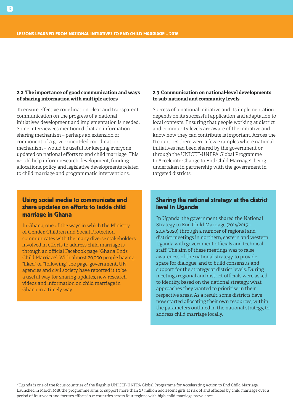### **2.2 The importance of good communication and ways of sharing information with multiple actors**

To ensure effective coordination, clear and transparent communication on the progress of a national initiative's development and implementation is needed. Some interviewees mentioned that an information sharing mechanism – perhaps an extension or component of a government-led coordination mechanism – would be useful for keeping everyone updated on national efforts to end child marriage. This would help inform research development, funding allocations, policy and legislative developments related to child marriage and programmatic interventions.

### **2.3 Communication on national-level developments to sub-national and community levels**

Success of a national initiative and its implementation depends on its successful application and adaptation to local contexts. Ensuring that people working at district and community levels are aware of the initiative and know how they can contribute is important. Across the 11 countries there were a few examples where national initiatives had been shared by the government or through the UNICEF-UNFPA Global Programme to Accelerate Change to End Child Marriage<sup>9</sup> being undertaken in partnership with the government in targeted districts.

## Using social media to communicate and share updates on efforts to tackle child marriage in Ghana

In Ghana, one of the ways in which the Ministry of Gender, Children and Social Protection communicates with the many diverse stakeholders involved in efforts to address child marriage is through an official Facebook page "Ghana Ends Child Marriage". With almost 20,000 people having "liked" or "following" the page, government, UN agencies and civil society have reported it to be a useful way for sharing updates, new research, videos and information on child marriage in Ghana in a timely way.

## Sharing the national strategy at the district level in Uganda

In Uganda, the government shared the National Strategy to End Child Marriage (2014/2015 – 2019/2020) through a number of regional and district meetings in northern, eastern and western Uganda with government officials and technical staff. The aim of these meetings was to raise awareness of the national strategy, to provide space for dialogue, and to build consensus and support for the strategy at district levels. During meetings regional and district officials were asked to identify, based on the national strategy, what approaches they wanted to prioritise in their respective areas. As a result, some districts have now started allocating their own resources, within the parameters outlined in the national strategy, to address child marriage locally.

9 Uganda is one of the focus countries of the flagship UNICEF-UNFPA Global Programme for Accelerating Action to End Child Marriage. Launched in March 2016, the programme aims to support more than 2.5 million adolescent girls at risk of and affected by child marriage over a period of four years and focuses efforts in 12 countries across four regions with high child marriage prevalence.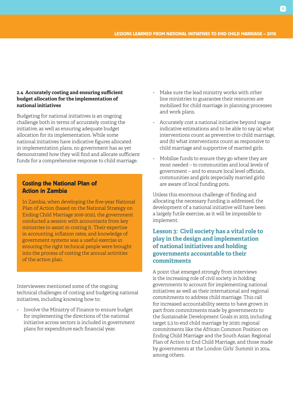### **2.4 Accurately costing and ensuring sufficient budget allocation for the implementation of national initiatives**

Budgeting for national initiatives is an ongoing challenge both in terms of accurately costing the initiative, as well as ensuring adequate budget allocation for its implementation. While some national initiatives have indicative figures allocated in implementation plans, no government has as yet demonstrated how they will find and allocate sufficient funds for a comprehensive response to child marriage.

## Costing the National Plan of Action in Zambia

In Zambia, when developing the five-year National Plan of Action (based on the National Strategy on Ending Child Marriage 2016-2021), the government conducted a session with accountants from key ministries to assist in costing it. Their expertise in accounting, inflation rates, and knowledge of government systems was a useful exercise in ensuring the right technical people were brought into the process of costing the annual activities of the action plan.

Interviewees mentioned some of the ongoing technical challenges of costing and budgeting national initiatives, including knowing how to:

• Involve the Ministry of Finance to ensure budget for implementing the directions of the national initiative across sectors is included in government plans for expenditure each financial year.

- Make sure the lead ministry works with other line ministries to guarantee their resources are mobilised for child marriage in planning processes and work plans.
- Accurately cost a national initiative beyond vague indicative estimations and to be able to say (a) what interventions count as preventive to child marriage, and (b) what interventions count as responsive to child marriage and supportive of married girls.
- Mobilise funds to ensure they go where they are most needed – to communities and local levels of government – and to ensure local level officials, communities and girls (especially married girls) are aware of local funding pots.

Unless this enormous challenge of finding and allocating the necessary funding is addressed, the development of a national initiative will have been a largely futile exercise, as it will be impossible to implement.

## **Lesson 3: Civil society has a vital role to play in the design and implementation of national initiatives and holding governments accountable to their commitments**

A point that emerged strongly from interviews is the increasing role of civil society in holding governments to account for implementing national initiatives as well as their international and regional commitments to address child marriage. This call for increased accountability seems to have grown in part from commitments made by governments to the Sustainable Development Goals in 2015, including target 5.3 to end child marriage by 2030; regional commitments like the African Common Position on Ending Child Marriage and the South Asian Regional Plan of Action to End Child Marriage, and those made by governments at the London Girls' Summit in 2014, among others.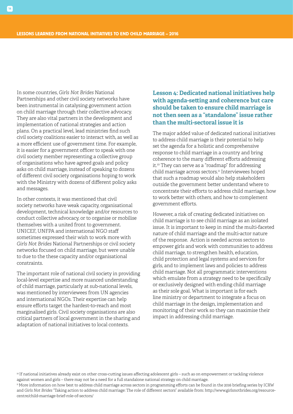In some countries, *Girls Not Brides* National Partnerships and other civil society networks have been instrumental in catalysing government action on child marriage through their collective advocacy. They are also vital partners in the development and implementation of national strategies and action plans. On a practical level, lead ministries find such civil society coalitions easier to interact with, as well as a more efficient use of government time. For example, it is easier for a government officer to speak with one civil society member representing a collective group of organisations who have agreed goals and policy asks on child marriage, instead of speaking to dozens of different civil society organisations hoping to work with the Ministry with dozens of different policy asks and messages.

In other contexts, it was mentioned that civil society networks have weak capacity, organisational development, technical knowledge and/or resources to conduct collective advocacy, or to organise or mobilise themselves with a united front to government. UNICEF, UNFPA and international NGO staff sometimes expressed their wish to work more with *Girls Not Brides* National Partnerships or civil society networks focused on child marriage, but were unable to due to the these capacity and/or organisational constraints.

The important role of national civil society in providing local-level expertise and more nuanced understanding of child marriage, particularly at sub-national levels, was mentioned by interviewees from UN agencies and international NGOs. Their expertise can help ensure efforts target the hardest-to-reach and most marginalised girls. Civil society organisations are also critical partners of local government in the sharing and adaptation of national initiatives to local contexts.

## **Lesson 4: Dedicated national initiatives help with agenda-setting and coherence but care should be taken to ensure child marriage is not then seen as a "standalone" issue rather than the multi-sectoral issue it is**

The major added value of dedicated national initiatives to address child marriage is their potential to help set the agenda for a holistic and comprehensive response to child marriage in a country and bring coherence to the many different efforts addressing it.10 They can serve as a "roadmap" for addressing child marriage across sectors.<sup>11</sup> Interviewees hoped that such a roadmap would also help stakeholders outside the government better understand where to concentrate their efforts to address child marriage, how to work better with others, and how to complement government efforts.

However, a risk of creating dedicated initiatives on child marriage is to see child marriage as an isolated issue. It is important to keep in mind the multi-faceted nature of child marriage and the multi-actor nature of the response. Action is needed across sectors to empower girls and work with communities to address child marriage, to strengthen health, education, child protection and legal systems and services for girls, and to implement laws and policies to address child marriage. Not all programmatic interventions which emulate from a strategy need to be specifically or exclusively designed with ending child marriage as their sole goal. What is important is for each line ministry or department to integrate a focus on child marriage in the design, implementation and monitoring of their work so they can maximise their impact in addressing child marriage.

<sup>&</sup>lt;sup>10</sup> If national initiatives already exist on other cross-cutting issues affecting adolescent girls – such as on empowerment or tackling violence against women and girls – there may not be a need for a full standalone national strategy on child marriage.

<sup>&</sup>lt;sup>11</sup> More information on how best to address child marriage across sectors in programming efforts can be found in the 2016 briefing series by ICRW and *Girls Not Brides* "Taking action to address child marriage: The role of different sectors" available from: http://www.girlsnotbrides.org/resourcecentre/child-marriage-brief-role-of-sectors/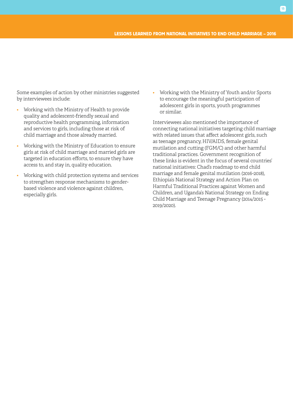Some examples of action by other ministries suggested by interviewees include:

- Working with the Ministry of Health to provide quality and adolescent-friendly sexual and reproductive health programming, information and services to girls, including those at risk of child marriage and those already married.
- Working with the Ministry of Education to ensure girls at risk of child marriage and married girls are targeted in education efforts, to ensure they have access to, and stay in, quality education.
- Working with child protection systems and services to strengthen response mechanisms to genderbased violence and violence against children, especially girls.

• Working with the Ministry of Youth and/or Sports to encourage the meaningful participation of adolescent girls in sports, youth programmes or similar.

Interviewees also mentioned the importance of connecting national initiatives targeting child marriage with related issues that affect adolescent girls, such as teenage pregnancy, HIV/AIDS, female genital mutilation and cutting (FGM/C) and other harmful traditional practices. Government recognition of these links is evident in the focus of several countries' national initiatives: Chad's roadmap to end child marriage and female genital mutilation (2016-2018), Ethiopia's National Strategy and Action Plan on Harmful Traditional Practices against Women and Children, and Uganda's National Strategy on Ending Child Marriage and Teenage Pregnancy (2014/2015 - 2019/2020).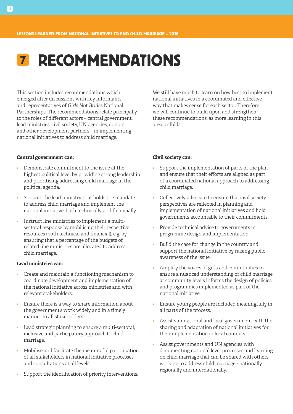## 7 RECOMMENDATIONS

This section includes recommendations which emerged after discussions with key informants and representatives of *Girls Not Brides* National Partnerships. The recommendations relate principally to the roles of different actors – central government, lead ministries, civil society, UN agencies, donors and other development partners – in implementing national initiatives to address child marriage.

We still have much to learn on how best to implement national initiatives in a coordinated and effective way that makes sense for each sector. Therefore we will continue to build upon and strengthen these recommendations, as more learning in this area unfolds.

### **Central government can:**

- Demonstrate commitment to the issue at the highest political level by providing strong leadership and prioritising addressing child marriage in the political agenda.
- Support the lead ministry that holds the mandate to address child marriage and implement the national initiative, both technically and financially.
- Instruct line ministries to implement a multisectoral response by mobilising their respective resources (both technical and financial), e.g. by ensuring that a percentage of the budgets of related line ministries are allocated to address child marriage.

#### **Lead ministries can:**

- Create and maintain a functioning mechanism to coordinate development and implementation of the national initiative across ministries and with relevant stakeholders.
- Ensure there is a way to share information about the government's work widely and in a timely manner to all stakeholders.
- Lead strategic planning to ensure a multi-sectoral, inclusive and participatory approach to child marriage.
- Mobilise and facilitate the meaningful participation of all stakeholders in national initiative processes and consultations at all levels.
- Support the identification of priority interventions.

## **Civil society can:**

- Support the implementation of parts of the plan and ensure that their efforts are aligned as part of a coordinated national approach to addressing child marriage.
- Collectively advocate to ensure that civil society perspectives are reflected in planning and implementation of national initiatives and hold governments accountable to their commitments.
- Provide technical advice to governments in programme design and implementation.
- Build the case for change in the country and support the national initiative by raising public awareness of the issue.
- Amplify the voices of girls and communities to ensure a nuanced understanding of child marriage at community levels informs the design of policies and programmes implemented as part of the national initiative.
- Ensure young people are included meaningfully in all parts of the process.
- Assist sub-national and local government with the sharing and adaptation of national initiatives for their implementation in local contexts.
- Assist governments and UN agencies with documenting national level processes and learning on child marriage that can be shared with others working to address child marriage - nationally, regionally and internationally.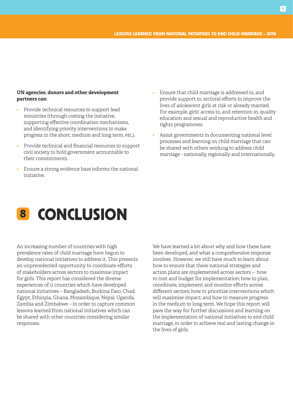### **UN agencies, donors and other development partners can:**

- Provide technical resources to support lead ministries (through costing the initiative, supporting effective coordination mechanisms, and identifying priority interventions to make progress in the short, medium and long term, etc.).
- Provide technical and financial resources to support civil society to hold government accountable to their commitments.
- Ensure a strong evidence base informs the national initiative.
- Ensure that child marriage is addressed in, and provide support to, sectoral efforts to improve the lives of adolescent girls at risk or already married. For example, girls' access to, and retention in, quality education and sexual and reproductive health and rights programmes.
- Assist governments in documenting national level processes and learning on child marriage that can be shared with others working to address child marriage - nationally, regionally and internationally.

## 8 CONCLUSION

An increasing number of countries with high prevalence rates of child marriage have begun to develop national initiatives to address it. This presents an unprecedented opportunity to coordinate efforts of stakeholders across sectors to maximise impact for girls. This report has considered the diverse experiences of 11 countries which have developed national initiatives – Bangladesh, Burkina Faso, Chad, Egypt, Ethiopia, Ghana, Mozambique, Nepal, Uganda, Zambia and Zimbabwe – in order to capture common lessons learned from national initiatives which can be shared with other countries considering similar responses.

We have learned a lot about why and how these have been developed, and what a comprehensive response involves. However, we still have much to learn about how to ensure that these national strategies and action plans are implemented across sectors – how to cost and budget for implementation; how to plan, coordinate, implement and monitor efforts across different sectors; how to prioritise interventions which will maximise impact; and how to measure progress in the medium to long term. We hope this report will pave the way for further discussions and learning on the implementation of national initiatives to end child marriage, in order to achieve real and lasting change in the lives of girls.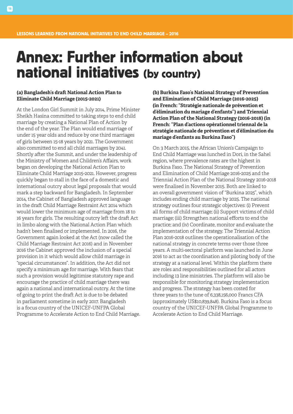## Annex: Further information about national initiatives (by country)

### **(a) Bangladesh's draft National Action Plan to Eliminate Child Marriage (2015-2021)**

At the London Girl Summit in July 2014, Prime Minister Sheikh Hasina committed to taking steps to end child marriage by creating a National Plan of Action by the end of the year. The Plan would end marriage of under 15 year olds and reduce by one third marriages of girls between 15-18 years by 2021. The Government also committed to end all child marriages by 2041. Shortly after the Summit, and under the leadership of the Ministry of Women and Children's Affairs, work began on developing the National Action Plan to Eliminate Child Marriage 2015-2021. However, progress quickly began to stall in the face of a domestic and international outcry about legal proposals that would mark a step backward for Bangladesh. In September 2014, the Cabinet of Bangladesh approved language in the draft Child Marriage Restraint Act 2014 which would lower the minimum age of marriage from 18 to 16 years for girls. The resulting outcry left the draft Act in limbo along with the National Action Plan which hadn't been finalised or implemented. In 2016, the Government again looked at the Act (now called the Child Marriage Restraint Act 2016) and in November 2016 the Cabinet approved the inclusion of a special provision in it which would allow child marriage in "special circumstances". In addition, the Act did not specify a minimum age for marriage. With fears that such a provision would legitimise statutory rape and encourage the practice of child marriage there was again a national and international outcry. At the time of going to print the draft Act is due to be debated in parliament sometime in early 2017. Bangladesh is a focus country of the UNICEF-UNFPA Global Programme to Accelerate Action to End Child Marriage. **(b) Burkina Faso's National Strategy of Prevention and Elimination of Child Marriage (2016-2025) (in French: "Stratégie nationale de prévention et d'élimination du mariage d'enfants") and Triennial Action Plan of the National Strategy (2016-2018) (in French: "Plan d'actions opérationnel triennal de la stratégie nationale de prévention et d'élimination du mariage d'enfants au Burkina Faso")**

On 3 March 2015, the African Union's Campaign to End Child Marriage was lunched in Dori, in the Sahel region, where prevalence rates are the highest in Burkina Faso. The National Strategy of Prevention and Elimination of Child Marriage 2016-2025 and the Triennial Action Plan of the National Strategy 2016-2018 were finalised in November 2015. Both are linked to an overall government vision of "Burkina 2025", which includes ending child marriage by 2025. The national strategy outlines four strategic objectives: (i) Prevent all forms of child marriage; (ii) Support victims of child marriage; (iii) Strengthen national efforts to end the practice; and (iv) Coordinate, monitor and evaluate the implementation of the strategy. The Triennial Action Plan 2016-2018 outlines the operationalisation of the national strategy in concrete terms over those three years. A multi-sectoral platform was launched in June 2016 to act as the coordination and piloting body of the strategy at a national level. Within the platform there are roles and responsibilities outlined for all actors including 13 line ministries. The platform will also be responsible for monitoring strategy implementation and progress. The strategy has been costed for three years to the tune of 6,338,156,000 Francs CFA (approximately US\$10,839,848). Burkina Faso is a focus country of the UNICEF-UNFPA Global Programme to Accelerate Action to End Child Marriage.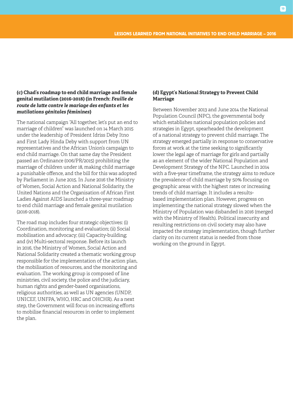### **(c) Chad's roadmap to end child marriage and female genital mutilation (2016-2018) (in French:** *Feuille de route de lutte contre le mariage des enfants et les mutilations génitales féminines***)**

The national campaign "All together, let's put an end to marriage of children" was launched on 14 March 2015 under the leadership of President Idriss Deby Itno and First Lady Hinda Deby with support from UN representatives and the African Union's campaign to end child marriage. On that same day the President passed an Ordinance (006/PR/2015) prohibiting the marriage of children under 18, making child marriage a punishable offence, and the bill for this was adopted by Parliament in June 2015. In June 2016 the Ministry of Women, Social Action and National Solidarity, the United Nations and the Organisation of African First Ladies Against AIDS launched a three-year roadmap to end child marriage and female genital mutilation (2016-2018).

The road map includes four strategic objectives: (i) Coordination, monitoring and evaluation; (ii) Social mobilisation and advocacy; (iii) Capacity-building; and (iv) Multi-sectoral response. Before its launch in 2016, the Ministry of Women, Social Action and National Solidarity created a thematic working group responsible for the implementation of the action plan, the mobilisation of resources, and the monitoring and evaluation. The working group is composed of line ministries, civil society, the police and the judiciary, human rights and gender-based organisations, religious authorities, as well as UN agencies (UNDP, UNICEF, UNFPA, WHO, HRC and OHCHR). As a next step, the Government will focus on increasing efforts to mobilise financial resources in order to implement the plan.

### **(d) Egypt's National Strategy to Prevent Child Marriage**

Between November 2013 and June 2014 the National Population Council (NPC), the governmental body which establishes national population policies and strategies in Egypt, spearheaded the development of a national strategy to prevent child marriage. The strategy emerged partially in response to conservative forces at work at the time seeking to significantly lower the legal age of marriage for girls and partially as an element of the wider National Population and Development Strategy of the NPC. Launched in 2014 with a five-year timeframe, the strategy aims to reduce the prevalence of child marriage by 50% focusing on geographic areas with the highest rates or increasing trends of child marriage. It includes a resultsbased implementation plan. However, progress on implementing the national strategy slowed when the Ministry of Population was disbanded in 2016 (merged with the Ministry of Health). Political insecurity and resulting restrictions on civil society may also have impacted the strategy implementation, though further clarity on its current status is needed from those working on the ground in Egypt.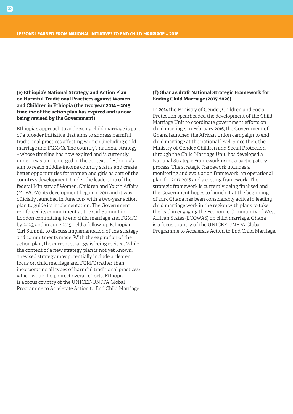## **(e) Ethiopia's National Strategy and Action Plan on Harmful Traditional Practices against Women and Children in Ethiopia (the two year 2014 – 2015 timeline of the action plan has expired and is now being revised by the Government)**

Ethiopia's approach to addressing child marriage is part of a broader initiative that aims to address harmful traditional practices affecting women (including child marriage and FGM/C). The country's national strategy – whose timeline has now expired and is currently under revision – emerged in the context of Ethiopia's aim to reach middle-income country status and create better opportunities for women and girls as part of the country's development. Under the leadership of the federal Ministry of Women, Children and Youth Affairs (MoWCYA), its development began in 2011 and it was officially launched in June 2013 with a two-year action plan to guide its implementation. The Government reinforced its commitment at the Girl Summit in London committing to end child marriage and FGM/C by 2025, and in June 2015 held a follow-up Ethiopian Girl Summit to discuss implementation of the strategy and commitments made. With the expiration of the action plan, the current strategy is being revised. While the content of a new strategy plan is not yet known, a revised strategy may potentially include a clearer focus on child marriage and FGM/C (rather than incorporating all types of harmful traditional practices) which would help direct overall efforts. Ethiopia is a focus country of the UNICEF-UNFPA Global Programme to Accelerate Action to End Child Marriage.

### **(f) Ghana's draft National Strategic Framework for Ending Child Marriage (2017-2026)**

In 2014 the Ministry of Gender, Children and Social Protection spearheaded the development of the Child Marriage Unit to coordinate government efforts on child marriage. In February 2016, the Government of Ghana launched the African Union campaign to end child marriage at the national level. Since then, the Ministry of Gender, Children and Social Protection, through the Child Marriage Unit, has developed a National Strategic Framework using a participatory process. The strategic framework includes a monitoring and evaluation framework; an operational plan for 2017-2018 and a costing framework. The strategic framework is currently being finalised and the Government hopes to launch it at the beginning of 2017. Ghana has been considerably active in leading child marriage work in the region with plans to take the lead in engaging the Economic Community of West African States (ECOWAS) on child marriage. Ghana is a focus country of the UNICEF-UNFPA Global Programme to Accelerate Action to End Child Marriage.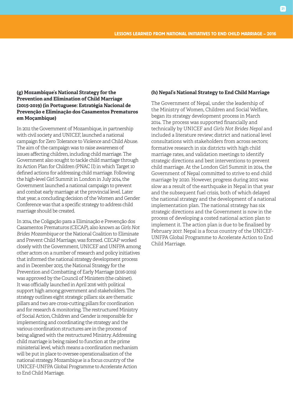## **(g) Mozambique's National Strategy for the Prevention and Elimination of Child Marriage (2015-2019) (in Portuguese: Estratégia Nacional de Prevenção e Eliminação dos Casamentos Prematuros em Moçambique)**

In 2011 the Government of Mozambique, in partnership with civil society and UNICEF, launched a national campaign for Zero Tolerance to Violence and Child Abuse. The aim of the campaign was to raise awareness of issues affecting children, including child marriage. The Government also sought to tackle child marriage through its Action Plan for Children (PNAC II) in which Target 10 defined actions for addressing child marriage. Following the high-level Girl Summit in London in July 2014, the Government launched a national campaign to prevent and combat early marriage at the provincial level. Later that year, a concluding decision of the Women and Gender Conference was that a specific strategy to address child marriage should be created.

In 2014, the Coligação para a Eliminação e Prevenção dos Casamentos Prematuros (CECAP), also known as *Girls Not Brides Mozambique* or the National Coalition to Eliminate and Prevent Child Marriage, was formed. CECAP worked closely with the Government, UNICEF and UNFPA among other actors on a number of research and policy initiatives that informed the national strategy development process and in December 2015, the National Strategy for the Prevention and Combatting of Early Marriage (2016-2019) was approved by the Council of Ministers (the cabinet). It was officially launched in April 2016 with political support high among government and stakeholders. The strategy outlines eight strategic pillars: six are thematic pillars and two are cross-cutting pillars for coordination and for research & monitoring. The restructured Ministry of Social Action, Children and Gender is responsible for implementing and coordinating the strategy and the various coordination structures are in the process of being aligned with the restructured Ministry. Addressing child marriage is being raised to function at the prime ministerial level, which means a coordination mechanism will be put in place to oversee operationalisation of the national strategy. Mozambique is a focus country of the UNICEF-UNFPA Global Programme to Accelerate Action to End Child Marriage.

### **(h) Nepal's National Strategy to End Child Marriage**

The Government of Nepal, under the leadership of the Ministry of Women, Children and Social Welfare, began its strategy development process in March 2014. The process was supported financially and technically by UNICEF and *Girls Not Brides Nepal* and included a literature review; district and national level consultations with stakeholders from across sectors; formative research in six districts with high child marriage rates, and validation meetings to identify strategic directions and best interventions to prevent child marriage. At the London Girl Summit in 2014, the Government of Nepal committed to strive to end child marriage by 2020. However, progress during 2015 was slow as a result of the earthquake in Nepal in that year and the subsequent fuel crisis, both of which delayed the national strategy and the development of a national implementation plan. The national strategy has six strategic directions and the Government is now in the process of developing a costed national action plan to implement it. The action plan is due to be finalised by February 2017. Nepal is a focus country of the UNICEF-UNFPA Global Programme to Accelerate Action to End Child Marriage.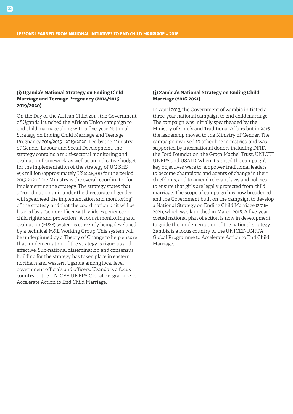## **(i) Uganda's National Strategy on Ending Child Marriage and Teenage Pregnancy (2014/2015 - 2019/2020)**

On the Day of the African Child 2015, the Government of Uganda launched the African Union campaign to end child marriage along with a five-year National Strategy on Ending Child Marriage and Teenage Pregnancy 2014/2015 - 2019/2020. Led by the Ministry of Gender, Labour and Social Development, the strategy contains a multi-sectoral monitoring and evaluation framework, as well as an indicative budget for the implementation of the strategy of UG SHS 898 million (approximately US\$248,701) for the period 2015-2020. The Ministry is the overall coordinator for implementing the strategy. The strategy states that a "coordination unit under the directorate of gender will spearhead the implementation and monitoring" of the strategy, and that the coordination unit will be headed by a "senior officer with wide experience on child rights and protection". A robust monitoring and evaluation (M&E) system is currently being developed by a technical M&E Working Group. This system will be underpinned by a Theory of Change to help ensure that implementation of the strategy is rigorous and effective. Sub-national dissemination and consensus building for the strategy has taken place in eastern northern and western Uganda among local level government officials and officers. Uganda is a focus country of the UNICEF-UNFPA Global Programme to Accelerate Action to End Child Marriage.

### **(j) Zambia's National Strategy on Ending Child Marriage (2016-2021)**

In April 2013, the Government of Zambia initiated a three-year national campaign to end child marriage. The campaign was initially spearheaded by the Ministry of Chiefs and Traditional Affairs but in 2016 the leadership moved to the Ministry of Gender. The campaign involved 10 other line ministries, and was supported by international donors including DFID, the Ford Foundation, the Graça Machel Trust, UNICEF, UNFPA and USAID. When it started the campaign's key objectives were to: empower traditional leaders to become champions and agents of change in their chiefdoms, and to amend relevant laws and policies to ensure that girls are legally protected from child marriage. The scope of campaign has now broadened and the Government built on the campaign to develop a National Strategy on Ending Child Marriage (2016- 2021), which was launched in March 2016. A five-year costed national plan of action is now in development to guide the implementation of the national strategy. Zambia is a focus country of the UNICEF-UNFPA Global Programme to Accelerate Action to End Child Marriage.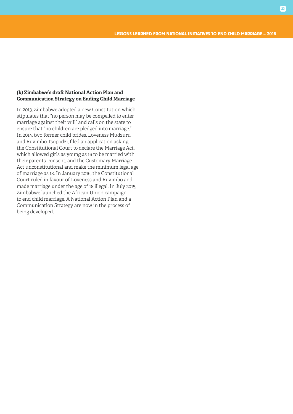## **(k) Zimbabwe's draft National Action Plan and Communication Strategy on Ending Child Marriage**

In 2013, Zimbabwe adopted a new Constitution which stipulates that "no person may be compelled to enter marriage against their will" and calls on the state to ensure that "no children are pledged into marriage." In 2014, two former child brides, Loveness Mudzuru and Ruvimbo Tsopodzi, filed an application asking the Constitutional Court to declare the Marriage Act, which allowed girls as young as 16 to be married with their parents' consent, and the Customary Marriage Act unconstitutional and make the minimum legal age of marriage as 18. In January 2016, the Constitutional Court ruled in favour of Loveness and Ruvimbo and made marriage under the age of 18 illegal. In July 2015, Zimbabwe launched the African Union campaign to end child marriage. A National Action Plan and a Communication Strategy are now in the process of being developed.